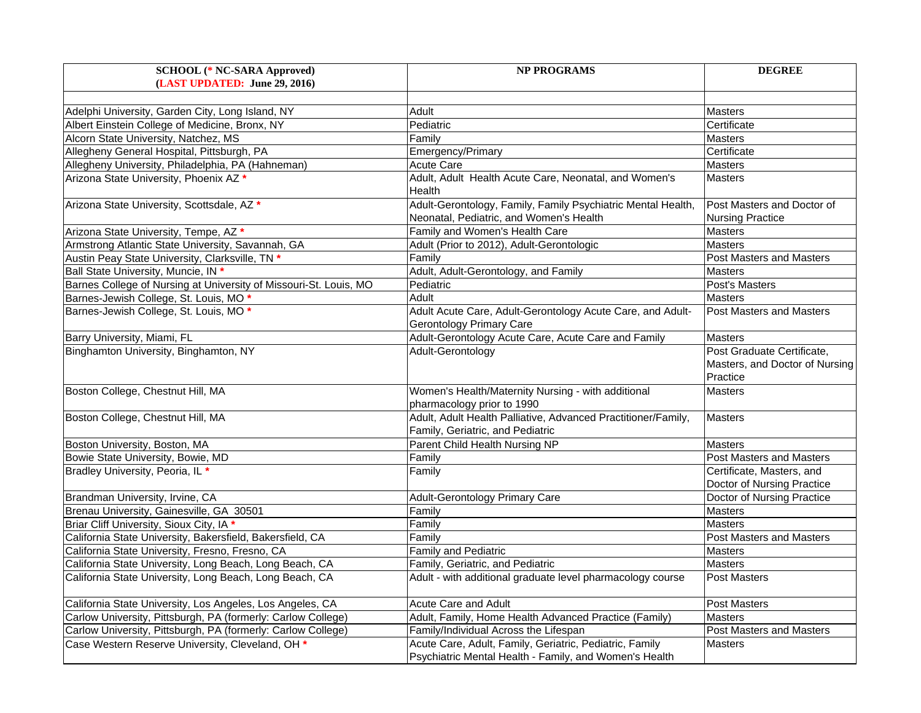| <b>SCHOOL</b> (* NC-SARA Approved)                                | <b>NP PROGRAMS</b>                                                                                                | <b>DEGREE</b>                                                            |
|-------------------------------------------------------------------|-------------------------------------------------------------------------------------------------------------------|--------------------------------------------------------------------------|
| (LAST UPDATED: June 29, 2016)                                     |                                                                                                                   |                                                                          |
|                                                                   |                                                                                                                   |                                                                          |
| Adelphi University, Garden City, Long Island, NY                  | Adult                                                                                                             | <b>Masters</b>                                                           |
| Albert Einstein College of Medicine, Bronx, NY                    | Pediatric                                                                                                         | Certificate                                                              |
| Alcorn State University, Natchez, MS                              | Familv                                                                                                            | <b>Masters</b>                                                           |
| Allegheny General Hospital, Pittsburgh, PA                        | Emergency/Primary                                                                                                 | Certificate                                                              |
| Allegheny University, Philadelphia, PA (Hahneman)                 | Acute Care                                                                                                        | <b>Masters</b>                                                           |
| Arizona State University, Phoenix AZ *                            | Adult, Adult Health Acute Care, Neonatal, and Women's<br>Health                                                   | <b>Masters</b>                                                           |
| Arizona State University, Scottsdale, AZ *                        | Adult-Gerontology, Family, Family Psychiatric Mental Health,<br>Neonatal, Pediatric, and Women's Health           | Post Masters and Doctor of<br><b>Nursing Practice</b>                    |
| Arizona State University, Tempe, AZ *                             | Family and Women's Health Care                                                                                    | Masters                                                                  |
| Armstrong Atlantic State University, Savannah, GA                 | Adult (Prior to 2012), Adult-Gerontologic                                                                         | <b>Masters</b>                                                           |
| Austin Peay State University, Clarksville, TN *                   | Family                                                                                                            | <b>Post Masters and Masters</b>                                          |
| Ball State University, Muncie, IN *                               | Adult, Adult-Gerontology, and Family                                                                              | <b>Masters</b>                                                           |
| Barnes College of Nursing at University of Missouri-St. Louis, MO | Pediatric                                                                                                         | Post's Masters                                                           |
| Barnes-Jewish College, St. Louis, MO*                             | Adult                                                                                                             | <b>Masters</b>                                                           |
| Barnes-Jewish College, St. Louis, MO *                            | Adult Acute Care, Adult-Gerontology Acute Care, and Adult-<br>Gerontology Primary Care                            | <b>Post Masters and Masters</b>                                          |
| Barry University, Miami, FL                                       | Adult-Gerontology Acute Care, Acute Care and Family                                                               | <b>Masters</b>                                                           |
| Binghamton University, Binghamton, NY                             | Adult-Gerontology                                                                                                 | Post Graduate Certificate,<br>Masters, and Doctor of Nursing<br>Practice |
| Boston College, Chestnut Hill, MA                                 | Women's Health/Maternity Nursing - with additional<br>pharmacology prior to 1990                                  | <b>Masters</b>                                                           |
| Boston College, Chestnut Hill, MA                                 | Adult, Adult Health Palliative, Advanced Practitioner/Family,<br>Family, Geriatric, and Pediatric                 | <b>Masters</b>                                                           |
| Boston University, Boston, MA                                     | Parent Child Health Nursing NP                                                                                    | <b>Masters</b>                                                           |
| Bowie State University, Bowie, MD                                 | Family                                                                                                            | Post Masters and Masters                                                 |
| Bradley University, Peoria, IL *                                  | Family                                                                                                            | Certificate, Masters, and<br>Doctor of Nursing Practice                  |
| Brandman University, Irvine, CA                                   | <b>Adult-Gerontology Primary Care</b>                                                                             | Doctor of Nursing Practice                                               |
| Brenau University, Gainesville, GA 30501                          | Familv                                                                                                            | <b>Masters</b>                                                           |
| Briar Cliff University, Sioux City, IA *                          | Family                                                                                                            | <b>Masters</b>                                                           |
| California State University, Bakersfield, Bakersfield, CA         | Family                                                                                                            | Post Masters and Masters                                                 |
| California State University, Fresno, Fresno, CA                   | Family and Pediatric                                                                                              | <b>Masters</b>                                                           |
| California State University, Long Beach, Long Beach, CA           | Family, Geriatric, and Pediatric                                                                                  | <b>Masters</b>                                                           |
| California State University, Long Beach, Long Beach, CA           | Adult - with additional graduate level pharmacology course                                                        | <b>Post Masters</b>                                                      |
| California State University, Los Angeles, Los Angeles, CA         | Acute Care and Adult                                                                                              | Post Masters                                                             |
| Carlow University, Pittsburgh, PA (formerly: Carlow College)      | Adult, Family, Home Health Advanced Practice (Family)                                                             | <b>Masters</b>                                                           |
| Carlow University, Pittsburgh, PA (formerly: Carlow College)      | Family/Individual Across the Lifespan                                                                             | <b>Post Masters and Masters</b>                                          |
| Case Western Reserve University, Cleveland, OH *                  | Acute Care, Adult, Family, Geriatric, Pediatric, Family<br>Psychiatric Mental Health - Family, and Women's Health | <b>Masters</b>                                                           |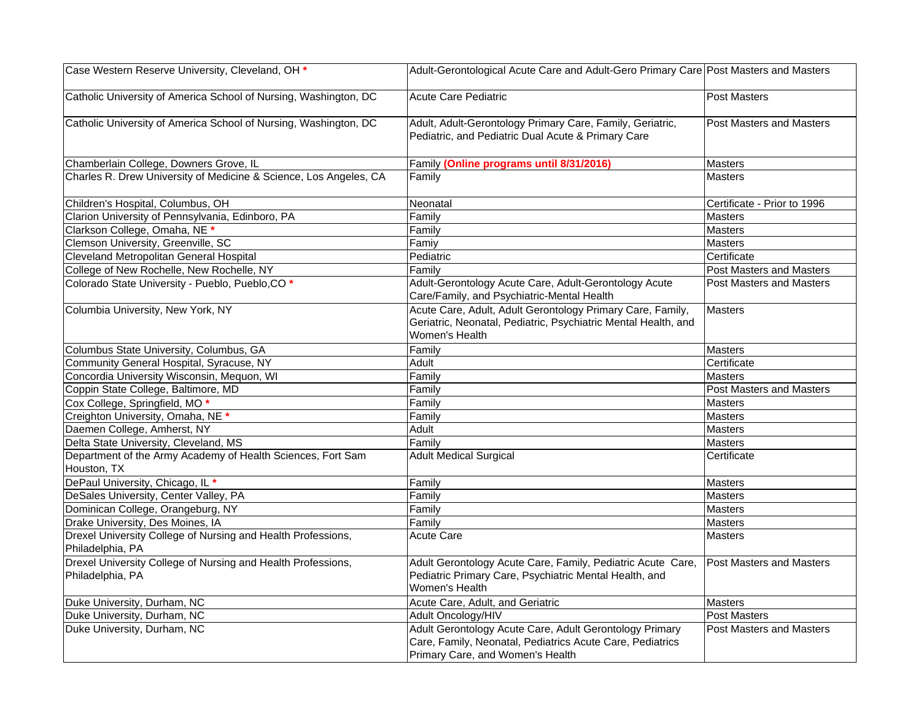| Case Western Reserve University, Cleveland, OH *                                 | Adult-Gerontological Acute Care and Adult-Gero Primary Care Post Masters and Masters                                                                     |                                 |
|----------------------------------------------------------------------------------|----------------------------------------------------------------------------------------------------------------------------------------------------------|---------------------------------|
| Catholic University of America School of Nursing, Washington, DC                 | <b>Acute Care Pediatric</b>                                                                                                                              | Post Masters                    |
| Catholic University of America School of Nursing, Washington, DC                 | Adult, Adult-Gerontology Primary Care, Family, Geriatric,<br>Pediatric, and Pediatric Dual Acute & Primary Care                                          | <b>Post Masters and Masters</b> |
| Chamberlain College, Downers Grove, IL                                           | Family (Online programs until 8/31/2016)                                                                                                                 | <b>Masters</b>                  |
| Charles R. Drew University of Medicine & Science, Los Angeles, CA                | Familv                                                                                                                                                   | <b>Masters</b>                  |
| Children's Hospital, Columbus, OH                                                | Neonatal                                                                                                                                                 | Certificate - Prior to 1996     |
| Clarion University of Pennsylvania, Edinboro, PA                                 | Family                                                                                                                                                   | <b>Masters</b>                  |
| Clarkson College, Omaha, NE <sup>*</sup>                                         | Family                                                                                                                                                   | <b>Masters</b>                  |
| Clemson University, Greenville, SC                                               | Famiy                                                                                                                                                    | Masters                         |
| Cleveland Metropolitan General Hospital                                          | Pediatric                                                                                                                                                | Certificate                     |
| College of New Rochelle, New Rochelle, NY                                        | Family                                                                                                                                                   | <b>Post Masters and Masters</b> |
| Colorado State University - Pueblo, Pueblo, CO *                                 | Adult-Gerontology Acute Care, Adult-Gerontology Acute<br>Care/Family, and Psychiatric-Mental Health                                                      | Post Masters and Masters        |
| Columbia University, New York, NY                                                | Acute Care, Adult, Adult Gerontology Primary Care, Family,<br>Geriatric, Neonatal, Pediatric, Psychiatric Mental Health, and<br>Women's Health           | <b>Masters</b>                  |
| Columbus State University, Columbus, GA                                          | Family                                                                                                                                                   | <b>Masters</b>                  |
| Community General Hospital, Syracuse, NY                                         | Adult                                                                                                                                                    | Certificate                     |
| Concordia University Wisconsin, Mequon, WI                                       | Family                                                                                                                                                   | Masters                         |
| Coppin State College, Baltimore, MD                                              | Family                                                                                                                                                   | <b>Post Masters and Masters</b> |
| Cox College, Springfield, MO*                                                    | Family                                                                                                                                                   | <b>Masters</b>                  |
| Creighton University, Omaha, NE *                                                | Family                                                                                                                                                   | <b>Masters</b>                  |
| Daemen College, Amherst, NY                                                      | Adult                                                                                                                                                    | <b>Masters</b>                  |
| Delta State University, Cleveland, MS                                            | Family                                                                                                                                                   | <b>Masters</b>                  |
| Department of the Army Academy of Health Sciences, Fort Sam<br>Houston, TX       | <b>Adult Medical Surgical</b>                                                                                                                            | Certificate                     |
| DePaul University, Chicago, IL *                                                 | Family                                                                                                                                                   | Masters                         |
| DeSales University, Center Valley, PA                                            | Family                                                                                                                                                   | Masters                         |
| Dominican College, Orangeburg, NY                                                | Family                                                                                                                                                   | <b>Masters</b>                  |
| Drake University, Des Moines, IA                                                 | Familv                                                                                                                                                   | <b>Masters</b>                  |
| Drexel University College of Nursing and Health Professions,<br>Philadelphia, PA | <b>Acute Care</b>                                                                                                                                        | <b>Masters</b>                  |
| Drexel University College of Nursing and Health Professions,<br>Philadelphia, PA | Adult Gerontology Acute Care, Family, Pediatric Acute Care,<br>Pediatric Primary Care, Psychiatric Mental Health, and<br>Women's Health                  | <b>Post Masters and Masters</b> |
| Duke University, Durham, NC                                                      | Acute Care, Adult, and Geriatric                                                                                                                         | <b>Masters</b>                  |
| Duke University, Durham, NC                                                      | Adult Oncology/HIV                                                                                                                                       | <b>Post Masters</b>             |
| Duke University, Durham, NC                                                      | Adult Gerontology Acute Care, Adult Gerontology Primary<br>Care, Family, Neonatal, Pediatrics Acute Care, Pediatrics<br>Primary Care, and Women's Health | Post Masters and Masters        |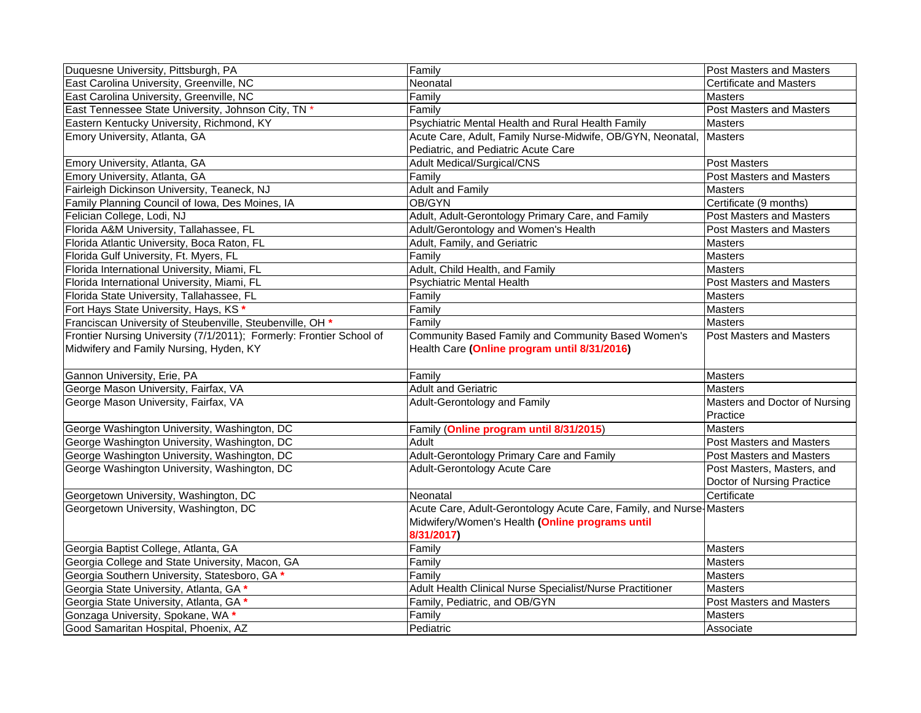| Duquesne University, Pittsburgh, PA                                  | Family                                                              | Post Masters and Masters        |
|----------------------------------------------------------------------|---------------------------------------------------------------------|---------------------------------|
| East Carolina University, Greenville, NC                             | Neonatal                                                            | <b>Certificate and Masters</b>  |
| East Carolina University, Greenville, NC                             | Familv                                                              | <b>Masters</b>                  |
| East Tennessee State University, Johnson City, TN *                  | Family                                                              | Post Masters and Masters        |
| Eastern Kentucky University, Richmond, KY                            | Psychiatric Mental Health and Rural Health Family                   | <b>Masters</b>                  |
| Emory University, Atlanta, GA                                        | Acute Care, Adult, Family Nurse-Midwife, OB/GYN, Neonatal,          | <b>Masters</b>                  |
|                                                                      | Pediatric, and Pediatric Acute Care                                 |                                 |
| Emory University, Atlanta, GA                                        | <b>Adult Medical/Surgical/CNS</b>                                   | Post Masters                    |
| Emory University, Atlanta, GA                                        | Family                                                              | Post Masters and Masters        |
| Fairleigh Dickinson University, Teaneck, NJ                          | <b>Adult and Family</b>                                             | <b>Masters</b>                  |
| Family Planning Council of Iowa, Des Moines, IA                      | OB/GYN                                                              | Certificate (9 months)          |
| Felician College, Lodi, NJ                                           | Adult, Adult-Gerontology Primary Care, and Family                   | <b>Post Masters and Masters</b> |
| Florida A&M University, Tallahassee, FL                              | Adult/Gerontology and Women's Health                                | Post Masters and Masters        |
| Florida Atlantic University, Boca Raton, FL                          | Adult, Family, and Geriatric                                        | <b>Masters</b>                  |
| Florida Gulf University, Ft. Myers, FL                               | Family                                                              | <b>Masters</b>                  |
| Florida International University, Miami, FL                          | Adult, Child Health, and Family                                     | <b>Masters</b>                  |
| Florida International University, Miami, FL                          | <b>Psychiatric Mental Health</b>                                    | Post Masters and Masters        |
| Florida State University, Tallahassee, FL                            | Family                                                              | <b>Masters</b>                  |
| Fort Hays State University, Hays, KS'                                | Family                                                              | Masters                         |
| Franciscan University of Steubenville, Steubenville, OH *            | Family                                                              | <b>Masters</b>                  |
| Frontier Nursing University (7/1/2011); Formerly: Frontier School of | Community Based Family and Community Based Women's                  | <b>Post Masters and Masters</b> |
| Midwifery and Family Nursing, Hyden, KY                              | Health Care (Online program until 8/31/2016)                        |                                 |
|                                                                      |                                                                     |                                 |
| Gannon University, Erie, PA                                          | Family                                                              | Masters                         |
| George Mason University, Fairfax, VA                                 | <b>Adult and Geriatric</b>                                          | <b>Masters</b>                  |
| George Mason University, Fairfax, VA                                 | Adult-Gerontology and Family                                        | Masters and Doctor of Nursing   |
|                                                                      |                                                                     | Practice                        |
| George Washington University, Washington, DC                         | Family (Online program until 8/31/2015)                             | <b>Masters</b>                  |
| George Washington University, Washington, DC                         | Adult                                                               | Post Masters and Masters        |
| George Washington University, Washington, DC                         | Adult-Gerontology Primary Care and Family                           | <b>Post Masters and Masters</b> |
| George Washington University, Washington, DC                         | <b>Adult-Gerontology Acute Care</b>                                 | Post Masters, Masters, and      |
|                                                                      |                                                                     | Doctor of Nursing Practice      |
| Georgetown University, Washington, DC                                | Neonatal                                                            | Certificate                     |
| Georgetown University, Washington, DC                                | Acute Care, Adult-Gerontology Acute Care, Family, and Nurse-Masters |                                 |
|                                                                      | Midwifery/Women's Health (Online programs until                     |                                 |
|                                                                      | 8/31/2017)                                                          |                                 |
| Georgia Baptist College, Atlanta, GA                                 | Family                                                              | <b>Masters</b>                  |
| Georgia College and State University, Macon, GA                      | Family                                                              | <b>Masters</b>                  |
| Georgia Southern University, Statesboro, GA *                        | Family                                                              | <b>Masters</b>                  |
| Georgia State University, Atlanta, GA *                              | Adult Health Clinical Nurse Specialist/Nurse Practitioner           | <b>Masters</b>                  |
| Georgia State University, Atlanta, GA *                              | Family, Pediatric, and OB/GYN                                       | Post Masters and Masters        |
| Gonzaga University, Spokane, WA *                                    | Family                                                              | Masters                         |
| Good Samaritan Hospital, Phoenix, AZ                                 | Pediatric                                                           | Associate                       |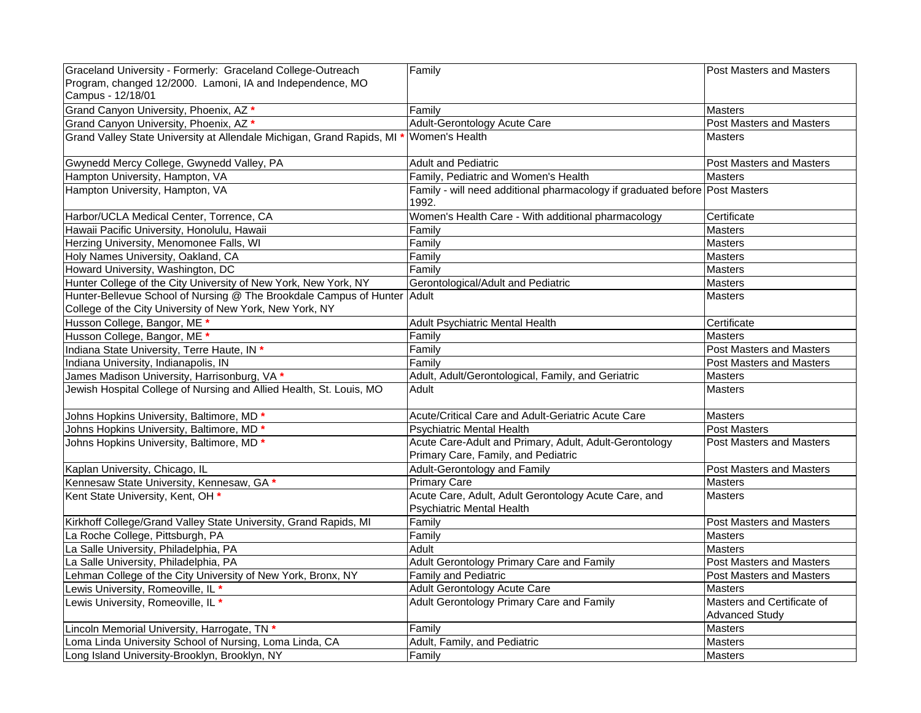| Graceland University - Formerly: Graceland College-Outreach                | Family                                                                               | <b>Post Masters and Masters</b> |
|----------------------------------------------------------------------------|--------------------------------------------------------------------------------------|---------------------------------|
| Program, changed 12/2000. Lamoni, IA and Independence, MO                  |                                                                                      |                                 |
| Campus - 12/18/01                                                          |                                                                                      |                                 |
| Grand Canyon University, Phoenix, AZ *                                     | Family                                                                               | <b>Masters</b>                  |
| Grand Canyon University, Phoenix, AZ *                                     | Adult-Gerontology Acute Care                                                         | Post Masters and Masters        |
| Grand Valley State University at Allendale Michigan, Grand Rapids, MI      | Women's Health                                                                       | <b>Masters</b>                  |
|                                                                            |                                                                                      |                                 |
| Gwynedd Mercy College, Gwynedd Valley, PA                                  | <b>Adult and Pediatric</b>                                                           | Post Masters and Masters        |
| Hampton University, Hampton, VA                                            | Family, Pediatric and Women's Health                                                 | <b>Masters</b>                  |
| Hampton University, Hampton, VA                                            | Family - will need additional pharmacology if graduated before Post Masters<br>1992. |                                 |
| Harbor/UCLA Medical Center, Torrence, CA                                   | Women's Health Care - With additional pharmacology                                   | Certificate                     |
| Hawaii Pacific University, Honolulu, Hawaii                                | Family                                                                               | <b>Masters</b>                  |
| Herzing University, Menomonee Falls, WI                                    | Family                                                                               | <b>Masters</b>                  |
| Holy Names University, Oakland, CA                                         | Family                                                                               | Masters                         |
| Howard University, Washington, DC                                          | Family                                                                               | Masters                         |
| Hunter College of the City University of New York, New York, NY            | Gerontological/Adult and Pediatric                                                   | <b>Masters</b>                  |
| Hunter-Bellevue School of Nursing @ The Brookdale Campus of Hunter   Adult |                                                                                      | <b>Masters</b>                  |
| College of the City University of New York, New York, NY                   |                                                                                      |                                 |
| Husson College, Bangor, ME *                                               | Adult Psychiatric Mental Health                                                      | Certificate                     |
| Husson College, Bangor, ME *                                               | Family                                                                               | <b>Masters</b>                  |
| Indiana State University, Terre Haute, IN *                                | Family                                                                               | Post Masters and Masters        |
| Indiana University, Indianapolis, IN                                       | Family                                                                               | <b>Post Masters and Masters</b> |
| James Madison University, Harrisonburg, VA *                               | Adult, Adult/Gerontological, Family, and Geriatric                                   | <b>Masters</b>                  |
| Jewish Hospital College of Nursing and Allied Health, St. Louis, MO        | Adult                                                                                | <b>Masters</b>                  |
| Johns Hopkins University, Baltimore, MD <sup>*</sup>                       | Acute/Critical Care and Adult-Geriatric Acute Care                                   | <b>Masters</b>                  |
| Johns Hopkins University, Baltimore, MD <sup>*</sup>                       | <b>Psychiatric Mental Health</b>                                                     | Post Masters                    |
| Johns Hopkins University, Baltimore, MD <sup>*</sup>                       | Acute Care-Adult and Primary, Adult, Adult-Gerontology                               | <b>Post Masters and Masters</b> |
|                                                                            | Primary Care, Family, and Pediatric                                                  |                                 |
| Kaplan University, Chicago, IL                                             | Adult-Gerontology and Family                                                         | Post Masters and Masters        |
| Kennesaw State University, Kennesaw, GA *                                  | <b>Primary Care</b>                                                                  | <b>Masters</b>                  |
| Kent State University, Kent, OH *                                          | Acute Care, Adult, Adult Gerontology Acute Care, and                                 | <b>Masters</b>                  |
|                                                                            | <b>Psychiatric Mental Health</b>                                                     |                                 |
| Kirkhoff College/Grand Valley State University, Grand Rapids, MI           | Family                                                                               | <b>Post Masters and Masters</b> |
| La Roche College, Pittsburgh, PA                                           | Family                                                                               | <b>Masters</b>                  |
| La Salle University, Philadelphia, PA                                      | Adult                                                                                | <b>Masters</b>                  |
| La Salle University, Philadelphia, PA                                      | Adult Gerontology Primary Care and Family                                            | Post Masters and Masters        |
| Lehman College of the City University of New York, Bronx, NY               | Family and Pediatric                                                                 | Post Masters and Masters        |
| Lewis University, Romeoville, IL *                                         | Adult Gerontology Acute Care                                                         | Masters                         |
| Lewis University, Romeoville, IL *                                         | Adult Gerontology Primary Care and Family                                            | Masters and Certificate of      |
|                                                                            |                                                                                      | <b>Advanced Study</b>           |
| Lincoln Memorial University, Harrogate, TN *                               | Family                                                                               | <b>Masters</b>                  |
| Loma Linda University School of Nursing, Loma Linda, CA                    | Adult, Family, and Pediatric                                                         | <b>Masters</b>                  |
| Long Island University-Brooklyn, Brooklyn, NY                              | Family                                                                               | <b>Masters</b>                  |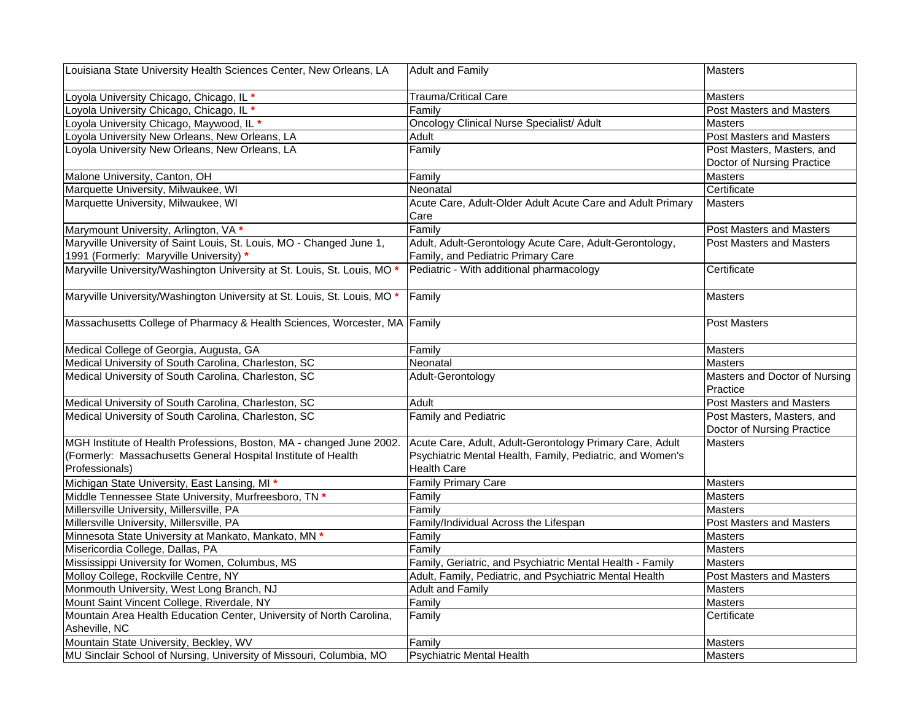| Louisiana State University Health Sciences Center, New Orleans, LA        | <b>Adult and Family</b>                                    | Masters                                   |
|---------------------------------------------------------------------------|------------------------------------------------------------|-------------------------------------------|
| Loyola University Chicago, Chicago, IL *                                  | Trauma/Critical Care                                       | <b>Masters</b>                            |
| Loyola University Chicago, Chicago, IL *                                  | Familv                                                     | <b>Post Masters and Masters</b>           |
| Loyola University Chicago, Maywood, IL *                                  | <b>Oncology Clinical Nurse Specialist/ Adult</b>           | <b>Masters</b>                            |
| Loyola University New Orleans, New Orleans, LA                            | Adult                                                      | <b>Post Masters and Masters</b>           |
| Loyola University New Orleans, New Orleans, LA                            | Family                                                     | Post Masters, Masters, and                |
|                                                                           |                                                            | Doctor of Nursing Practice                |
| Malone University, Canton, OH                                             | Family                                                     | <b>Masters</b>                            |
| Marquette University, Milwaukee, WI                                       | Neonatal                                                   | Certificate                               |
| Marquette University, Milwaukee, WI                                       | Acute Care, Adult-Older Adult Acute Care and Adult Primary | <b>Masters</b>                            |
|                                                                           | Care                                                       |                                           |
| Marymount University, Arlington, VA *                                     | Family                                                     | <b>Post Masters and Masters</b>           |
| Maryville University of Saint Louis, St. Louis, MO - Changed June 1,      | Adult, Adult-Gerontology Acute Care, Adult-Gerontology,    | <b>Post Masters and Masters</b>           |
| 1991 (Formerly: Maryville University) *                                   | Family, and Pediatric Primary Care                         |                                           |
| Maryville University/Washington University at St. Louis, St. Louis, MO *  | Pediatric - With additional pharmacology                   | Certificate                               |
|                                                                           |                                                            |                                           |
| Maryville University/Washington University at St. Louis, St. Louis, MO *  | Family                                                     | <b>Masters</b>                            |
|                                                                           |                                                            |                                           |
| Massachusetts College of Pharmacy & Health Sciences, Worcester, MA Family |                                                            | <b>Post Masters</b>                       |
| Medical College of Georgia, Augusta, GA                                   | Family                                                     | <b>Masters</b>                            |
| Medical University of South Carolina, Charleston, SC                      | Neonatal                                                   | <b>Masters</b>                            |
| Medical University of South Carolina, Charleston, SC                      | Adult-Gerontology                                          | Masters and Doctor of Nursing<br>Practice |
| Medical University of South Carolina, Charleston, SC                      | Adult                                                      | Post Masters and Masters                  |
| Medical University of South Carolina, Charleston, SC                      | Family and Pediatric                                       | Post Masters, Masters, and                |
|                                                                           |                                                            | Doctor of Nursing Practice                |
| MGH Institute of Health Professions, Boston, MA - changed June 2002.      | Acute Care, Adult, Adult-Gerontology Primary Care, Adult   | <b>Masters</b>                            |
| (Formerly: Massachusetts General Hospital Institute of Health             | Psychiatric Mental Health, Family, Pediatric, and Women's  |                                           |
| Professionals)                                                            | <b>Health Care</b>                                         |                                           |
| Michigan State University, East Lansing, MI *                             | <b>Family Primary Care</b>                                 | Masters                                   |
| Middle Tennessee State University, Murfreesboro, TN *                     | Family                                                     | <b>Masters</b>                            |
| Millersville University, Millersville, PA                                 | Familv                                                     | <b>Masters</b>                            |
| Millersville University, Millersville, PA                                 | Family/Individual Across the Lifespan                      | Post Masters and Masters                  |
| Minnesota State University at Mankato, Mankato, MN *                      | Family                                                     | Masters                                   |
| Misericordia College, Dallas, PA                                          | Family                                                     | <b>Masters</b>                            |
| Mississippi University for Women, Columbus, MS                            | Family, Geriatric, and Psychiatric Mental Health - Family  | <b>Masters</b>                            |
| Molloy College, Rockville Centre, NY                                      | Adult, Family, Pediatric, and Psychiatric Mental Health    | Post Masters and Masters                  |
| Monmouth University, West Long Branch, NJ                                 | <b>Adult and Family</b>                                    | <b>Masters</b>                            |
| Mount Saint Vincent College, Riverdale, NY                                | Family                                                     | <b>Masters</b>                            |
| Mountain Area Health Education Center, University of North Carolina,      | Family                                                     | Certificate                               |
| Asheville, NC                                                             |                                                            |                                           |
| Mountain State University, Beckley, WV                                    | Family                                                     | <b>Masters</b>                            |
| MU Sinclair School of Nursing, University of Missouri, Columbia, MO       | <b>Psychiatric Mental Health</b>                           | Masters                                   |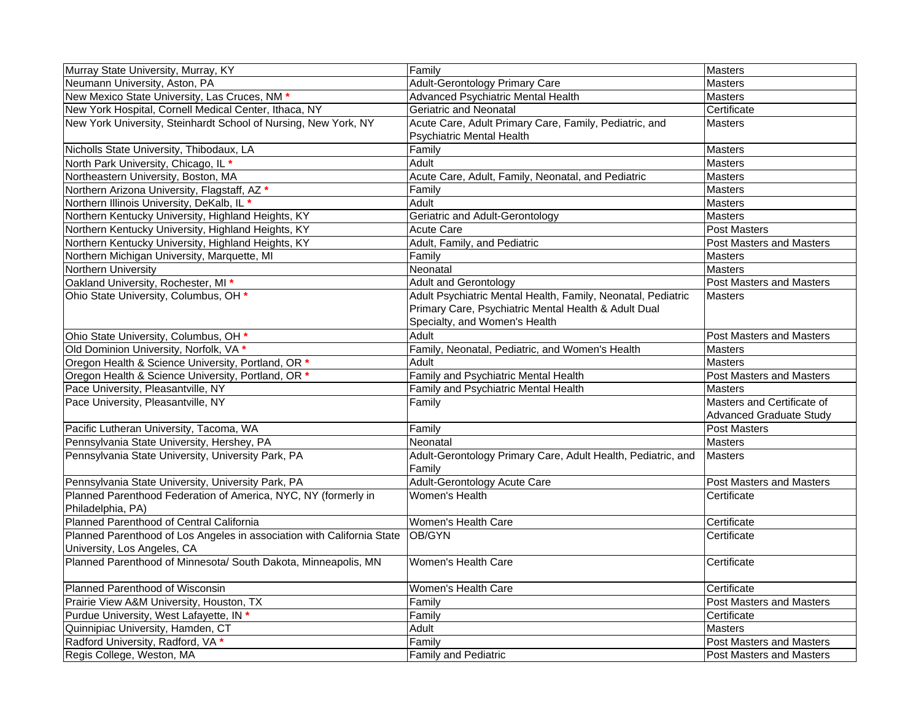| Murray State University, Murray, KY                                                                   | Family                                                                                                                                                | <b>Masters</b>                                               |
|-------------------------------------------------------------------------------------------------------|-------------------------------------------------------------------------------------------------------------------------------------------------------|--------------------------------------------------------------|
| Neumann University, Aston, PA                                                                         | <b>Adult-Gerontology Primary Care</b>                                                                                                                 | <b>Masters</b>                                               |
| New Mexico State University, Las Cruces, NM *                                                         | Advanced Psychiatric Mental Health                                                                                                                    | <b>Masters</b>                                               |
| New York Hospital, Cornell Medical Center, Ithaca, NY                                                 | Geriatric and Neonatal                                                                                                                                | Certificate                                                  |
| New York University, Steinhardt School of Nursing, New York, NY                                       | Acute Care, Adult Primary Care, Family, Pediatric, and<br><b>Psychiatric Mental Health</b>                                                            | <b>Masters</b>                                               |
| Nicholls State University, Thibodaux, LA                                                              | Family                                                                                                                                                | Masters                                                      |
| North Park University, Chicago, IL *                                                                  | Adult                                                                                                                                                 | <b>Masters</b>                                               |
| Northeastern University, Boston, MA                                                                   | Acute Care, Adult, Family, Neonatal, and Pediatric                                                                                                    | Masters                                                      |
| Northern Arizona University, Flagstaff, AZ *                                                          | Family                                                                                                                                                | <b>Masters</b>                                               |
| Northern Illinois University, DeKalb, IL *                                                            | Adult                                                                                                                                                 | Masters                                                      |
| Northern Kentucky University, Highland Heights, KY                                                    | Geriatric and Adult-Gerontology                                                                                                                       | Masters                                                      |
| Northern Kentucky University, Highland Heights, KY                                                    | <b>Acute Care</b>                                                                                                                                     | <b>Post Masters</b>                                          |
| Northern Kentucky University, Highland Heights, KY                                                    | Adult, Family, and Pediatric                                                                                                                          | <b>Post Masters and Masters</b>                              |
| Northern Michigan University, Marquette, MI                                                           | Family                                                                                                                                                | Masters                                                      |
| <b>Northern University</b>                                                                            | Neonatal                                                                                                                                              | <b>Masters</b>                                               |
| Oakland University, Rochester, MI *                                                                   | <b>Adult and Gerontology</b>                                                                                                                          | <b>Post Masters and Masters</b>                              |
| Ohio State University, Columbus, OH *                                                                 | Adult Psychiatric Mental Health, Family, Neonatal, Pediatric<br>Primary Care, Psychiatric Mental Health & Adult Dual<br>Specialty, and Women's Health | <b>Masters</b>                                               |
| Ohio State University, Columbus, OH *                                                                 | Adult                                                                                                                                                 | <b>Post Masters and Masters</b>                              |
| Old Dominion University, Norfolk, VA *                                                                | Family, Neonatal, Pediatric, and Women's Health                                                                                                       | <b>Masters</b>                                               |
| Oregon Health & Science University, Portland, OR *                                                    | Adult                                                                                                                                                 | <b>Masters</b>                                               |
| Oregon Health & Science University, Portland, OR *                                                    | <b>Family and Psychiatric Mental Health</b>                                                                                                           | <b>Post Masters and Masters</b>                              |
| Pace University, Pleasantville, NY                                                                    | Family and Psychiatric Mental Health                                                                                                                  | <b>Masters</b>                                               |
| Pace University, Pleasantville, NY                                                                    | Family                                                                                                                                                | Masters and Certificate of<br><b>Advanced Graduate Study</b> |
| Pacific Lutheran University, Tacoma, WA                                                               | Family                                                                                                                                                | <b>Post Masters</b>                                          |
| Pennsylvania State University, Hershey, PA                                                            | Neonatal                                                                                                                                              | <b>Masters</b>                                               |
| Pennsylvania State University, University Park, PA                                                    | Adult-Gerontology Primary Care, Adult Health, Pediatric, and<br>Family                                                                                | <b>Masters</b>                                               |
| Pennsylvania State University, University Park, PA                                                    | Adult-Gerontology Acute Care                                                                                                                          | Post Masters and Masters                                     |
| Planned Parenthood Federation of America, NYC, NY (formerly in<br>Philadelphia, PA)                   | Women's Health                                                                                                                                        | Certificate                                                  |
| Planned Parenthood of Central California                                                              | Women's Health Care                                                                                                                                   | Certificate                                                  |
| Planned Parenthood of Los Angeles in association with California State<br>University, Los Angeles, CA | OB/GYN                                                                                                                                                | Certificate                                                  |
| Planned Parenthood of Minnesota/ South Dakota, Minneapolis, MN                                        | Women's Health Care                                                                                                                                   | Certificate                                                  |
| Planned Parenthood of Wisconsin                                                                       | Women's Health Care                                                                                                                                   | Certificate                                                  |
| Prairie View A&M University, Houston, TX                                                              | Family                                                                                                                                                | <b>Post Masters and Masters</b>                              |
| Purdue University, West Lafayette, IN *                                                               | Family                                                                                                                                                | Certificate                                                  |
| Quinnipiac University, Hamden, CT                                                                     | Adult                                                                                                                                                 | <b>Masters</b>                                               |
| Radford University, Radford, VA *                                                                     | Family                                                                                                                                                | <b>Post Masters and Masters</b>                              |
| Regis College, Weston, MA                                                                             | <b>Family and Pediatric</b>                                                                                                                           | <b>Post Masters and Masters</b>                              |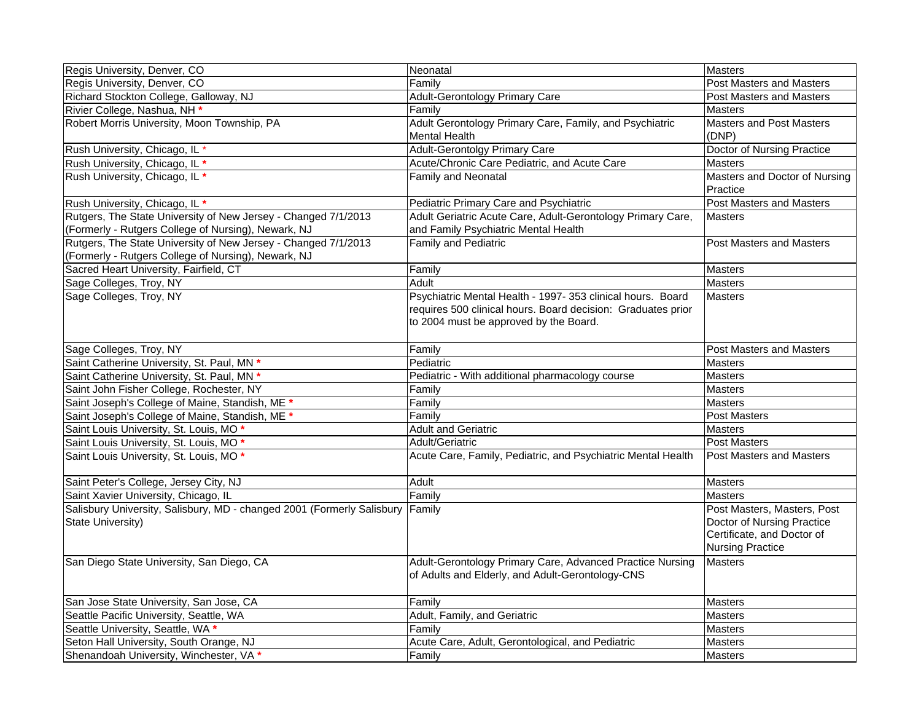| Regis University, Denver, CO                                           | Neonatal                                                     | Masters                                   |
|------------------------------------------------------------------------|--------------------------------------------------------------|-------------------------------------------|
| Regis University, Denver, CO                                           | Family                                                       | Post Masters and Masters                  |
| Richard Stockton College, Galloway, NJ                                 | Adult-Gerontology Primary Care                               | Post Masters and Masters                  |
| Rivier College, Nashua, NH *                                           | Family                                                       | <b>Masters</b>                            |
| Robert Morris University, Moon Township, PA                            | Adult Gerontology Primary Care, Family, and Psychiatric      | <b>Masters and Post Masters</b>           |
|                                                                        | <b>Mental Health</b>                                         | (DNP)                                     |
| Rush University, Chicago, IL*                                          | <b>Adult-Gerontolgy Primary Care</b>                         | Doctor of Nursing Practice                |
| Rush University, Chicago, IL *                                         | Acute/Chronic Care Pediatric, and Acute Care                 | <b>Masters</b>                            |
| Rush University, Chicago, IL *                                         | Family and Neonatal                                          | Masters and Doctor of Nursing<br>Practice |
| Rush University, Chicago, IL *                                         | Pediatric Primary Care and Psychiatric                       | Post Masters and Masters                  |
| Rutgers, The State University of New Jersey - Changed 7/1/2013         | Adult Geriatric Acute Care, Adult-Gerontology Primary Care,  | <b>Masters</b>                            |
| (Formerly - Rutgers College of Nursing), Newark, NJ                    | and Family Psychiatric Mental Health                         |                                           |
| Rutgers, The State University of New Jersey - Changed 7/1/2013         | <b>Family and Pediatric</b>                                  | <b>Post Masters and Masters</b>           |
| (Formerly - Rutgers College of Nursing), Newark, NJ                    |                                                              |                                           |
| Sacred Heart University, Fairfield, CT                                 | Family                                                       | <b>Masters</b>                            |
| Sage Colleges, Troy, NY                                                | Adult                                                        | <b>Masters</b>                            |
| Sage Colleges, Troy, NY                                                | Psychiatric Mental Health - 1997- 353 clinical hours. Board  | <b>Masters</b>                            |
|                                                                        | requires 500 clinical hours. Board decision: Graduates prior |                                           |
|                                                                        | to 2004 must be approved by the Board.                       |                                           |
|                                                                        |                                                              |                                           |
| Sage Colleges, Troy, NY                                                | Family                                                       | <b>Post Masters and Masters</b>           |
| Saint Catherine University, St. Paul, MN *                             | Pediatric                                                    | <b>Masters</b>                            |
| Saint Catherine University, St. Paul, MN *                             | Pediatric - With additional pharmacology course              | <b>Masters</b>                            |
| Saint John Fisher College, Rochester, NY                               | Family                                                       | <b>Masters</b>                            |
| Saint Joseph's College of Maine, Standish, ME *                        | Family                                                       | <b>Masters</b>                            |
| Saint Joseph's College of Maine, Standish, ME *                        | Family                                                       | Post Masters                              |
| Saint Louis University, St. Louis, MO *                                | <b>Adult and Geriatric</b>                                   | <b>Masters</b>                            |
| Saint Louis University, St. Louis, MO*                                 | Adult/Geriatric                                              | <b>Post Masters</b>                       |
| Saint Louis University, St. Louis, MO*                                 | Acute Care, Family, Pediatric, and Psychiatric Mental Health | Post Masters and Masters                  |
|                                                                        |                                                              |                                           |
| Saint Peter's College, Jersey City, NJ                                 | Adult                                                        | <b>Masters</b>                            |
| Saint Xavier University, Chicago, IL                                   | Family                                                       | <b>Masters</b>                            |
| Salisbury University, Salisbury, MD - changed 2001 (Formerly Salisbury | Family                                                       | Post Masters, Masters, Post               |
| State University)                                                      |                                                              | Doctor of Nursing Practice                |
|                                                                        |                                                              | Certificate, and Doctor of                |
|                                                                        |                                                              | <b>Nursing Practice</b>                   |
| San Diego State University, San Diego, CA                              | Adult-Gerontology Primary Care, Advanced Practice Nursing    | <b>Masters</b>                            |
|                                                                        | of Adults and Elderly, and Adult-Gerontology-CNS             |                                           |
|                                                                        |                                                              |                                           |
| San Jose State University, San Jose, CA                                | Family                                                       | <b>Masters</b>                            |
| Seattle Pacific University, Seattle, WA                                | Adult, Family, and Geriatric                                 | <b>Masters</b>                            |
| Seattle University, Seattle, WA *                                      | Family                                                       | <b>Masters</b>                            |
| Seton Hall University, South Orange, NJ                                | Acute Care, Adult, Gerontological, and Pediatric             | <b>Masters</b>                            |
| Shenandoah University, Winchester, VA *                                | Family                                                       | Masters                                   |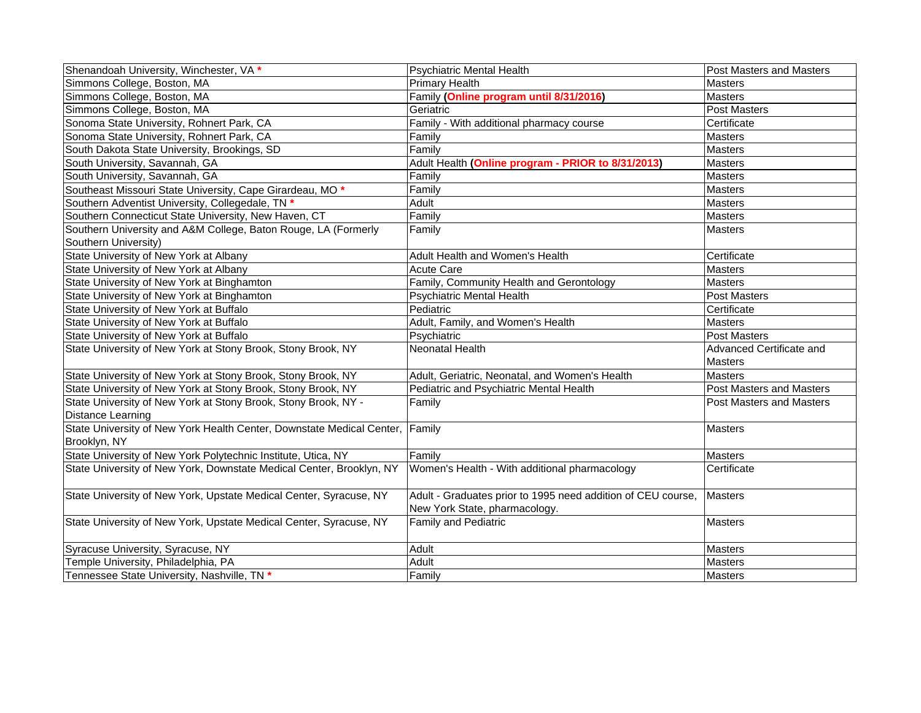| Shenandoah University, Winchester, VA *                               | <b>Psychiatric Mental Health</b>                             | Post Masters and Masters        |
|-----------------------------------------------------------------------|--------------------------------------------------------------|---------------------------------|
| Simmons College, Boston, MA                                           | <b>Primary Health</b>                                        | <b>Masters</b>                  |
| Simmons College, Boston, MA                                           | Family (Online program until 8/31/2016)                      | <b>Masters</b>                  |
| Simmons College, Boston, MA                                           | Geriatric                                                    | Post Masters                    |
| Sonoma State University, Rohnert Park, CA                             | Family - With additional pharmacy course                     | Certificate                     |
| Sonoma State University, Rohnert Park, CA                             | Family                                                       | <b>Masters</b>                  |
| South Dakota State University, Brookings, SD                          | Family                                                       | <b>Masters</b>                  |
| South University, Savannah, GA                                        | Adult Health (Online program - PRIOR to 8/31/2013)           | <b>Masters</b>                  |
| South University, Savannah, GA                                        | Family                                                       | <b>Masters</b>                  |
| Southeast Missouri State University, Cape Girardeau, MO *             | Family                                                       | <b>Masters</b>                  |
| Southern Adventist University, Collegedale, TN *                      | Adult                                                        | Masters                         |
| Southern Connecticut State University, New Haven, CT                  | Family                                                       | <b>Masters</b>                  |
| Southern University and A&M College, Baton Rouge, LA (Formerly        | Family                                                       | <b>Masters</b>                  |
| Southern University)                                                  |                                                              |                                 |
| State University of New York at Albany                                | Adult Health and Women's Health                              | Certificate                     |
| State University of New York at Albany                                | <b>Acute Care</b>                                            | Masters                         |
| State University of New York at Binghamton                            | Family, Community Health and Gerontology                     | Masters                         |
| State University of New York at Binghamton                            | <b>Psychiatric Mental Health</b>                             | <b>Post Masters</b>             |
| State University of New York at Buffalo                               | Pediatric                                                    | Certificate                     |
| State University of New York at Buffalo                               | Adult, Family, and Women's Health                            | <b>Masters</b>                  |
| State University of New York at Buffalo                               | Psychiatric                                                  | <b>Post Masters</b>             |
| State University of New York at Stony Brook, Stony Brook, NY          | Neonatal Health                                              | Advanced Certificate and        |
|                                                                       |                                                              | Masters                         |
| State University of New York at Stony Brook, Stony Brook, NY          | Adult, Geriatric, Neonatal, and Women's Health               | <b>Masters</b>                  |
| State University of New York at Stony Brook, Stony Brook, NY          | Pediatric and Psychiatric Mental Health                      | Post Masters and Masters        |
| State University of New York at Stony Brook, Stony Brook, NY -        | Family                                                       | <b>Post Masters and Masters</b> |
| <b>Distance Learning</b>                                              |                                                              |                                 |
| State University of New York Health Center, Downstate Medical Center, | Family                                                       | <b>Masters</b>                  |
| Brooklyn, NY                                                          |                                                              |                                 |
| State University of New York Polytechnic Institute, Utica, NY         | Family                                                       | <b>Masters</b>                  |
| State University of New York, Downstate Medical Center, Brooklyn, NY  | Women's Health - With additional pharmacology                | Certificate                     |
|                                                                       |                                                              |                                 |
| State University of New York, Upstate Medical Center, Syracuse, NY    | Adult - Graduates prior to 1995 need addition of CEU course, | <b>Masters</b>                  |
|                                                                       | New York State, pharmacology.                                |                                 |
| State University of New York, Upstate Medical Center, Syracuse, NY    | <b>Family and Pediatric</b>                                  | <b>Masters</b>                  |
|                                                                       |                                                              |                                 |
| Syracuse University, Syracuse, NY                                     | Adult                                                        | Masters                         |
| Temple University, Philadelphia, PA                                   | Adult                                                        | Masters                         |
| Tennessee State University, Nashville, TN *                           | Family                                                       | <b>Masters</b>                  |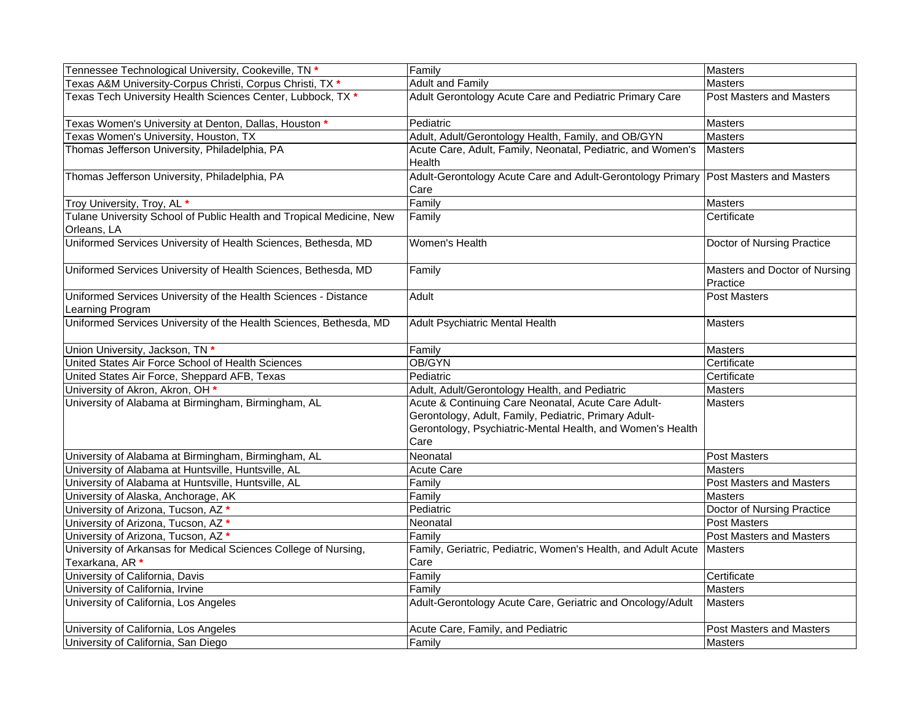| Tennessee Technological University, Cookeville, TN *                                | Family                                                                                                                                                                             | <b>Masters</b>                            |
|-------------------------------------------------------------------------------------|------------------------------------------------------------------------------------------------------------------------------------------------------------------------------------|-------------------------------------------|
| Texas A&M University-Corpus Christi, Corpus Christi, TX *                           | <b>Adult and Family</b>                                                                                                                                                            | <b>Masters</b>                            |
| Texas Tech University Health Sciences Center, Lubbock, TX *                         | Adult Gerontology Acute Care and Pediatric Primary Care                                                                                                                            | <b>Post Masters and Masters</b>           |
| Texas Women's University at Denton, Dallas, Houston *                               | Pediatric                                                                                                                                                                          | Masters                                   |
| Texas Women's University, Houston, TX                                               | Adult, Adult/Gerontology Health, Family, and OB/GYN                                                                                                                                | <b>Masters</b>                            |
| Thomas Jefferson University, Philadelphia, PA                                       | Acute Care, Adult, Family, Neonatal, Pediatric, and Women's<br>Health                                                                                                              | <b>Masters</b>                            |
| Thomas Jefferson University, Philadelphia, PA                                       | Adult-Gerontology Acute Care and Adult-Gerontology Primary<br>Care                                                                                                                 | Post Masters and Masters                  |
| Troy University, Troy, AL *                                                         | Family                                                                                                                                                                             | Masters                                   |
| Tulane University School of Public Health and Tropical Medicine, New<br>Orleans, LA | Family                                                                                                                                                                             | Certificate                               |
| Uniformed Services University of Health Sciences, Bethesda, MD                      | Women's Health                                                                                                                                                                     | Doctor of Nursing Practice                |
| Uniformed Services University of Health Sciences, Bethesda, MD                      | Family                                                                                                                                                                             | Masters and Doctor of Nursing<br>Practice |
| Uniformed Services University of the Health Sciences - Distance<br>Learning Program | Adult                                                                                                                                                                              | Post Masters                              |
| Uniformed Services University of the Health Sciences, Bethesda, MD                  | Adult Psychiatric Mental Health                                                                                                                                                    | <b>Masters</b>                            |
| Union University, Jackson, TN <sup>+</sup>                                          | Family                                                                                                                                                                             | <b>Masters</b>                            |
| United States Air Force School of Health Sciences                                   | OB/GYN                                                                                                                                                                             | Certificate                               |
| United States Air Force, Sheppard AFB, Texas                                        | Pediatric                                                                                                                                                                          | Certificate                               |
| University of Akron, Akron, OH *                                                    | Adult, Adult/Gerontology Health, and Pediatric                                                                                                                                     | <b>Masters</b>                            |
| University of Alabama at Birmingham, Birmingham, AL                                 | Acute & Continuing Care Neonatal, Acute Care Adult-<br>Gerontology, Adult, Family, Pediatric, Primary Adult-<br>Gerontology, Psychiatric-Mental Health, and Women's Health<br>Care | <b>Masters</b>                            |
| University of Alabama at Birmingham, Birmingham, AL                                 | Neonatal                                                                                                                                                                           | <b>Post Masters</b>                       |
| University of Alabama at Huntsville, Huntsville, AL                                 | <b>Acute Care</b>                                                                                                                                                                  | Masters                                   |
| University of Alabama at Huntsville, Huntsville, AL                                 | Family                                                                                                                                                                             | Post Masters and Masters                  |
| University of Alaska, Anchorage, AK                                                 | Family                                                                                                                                                                             | <b>Masters</b>                            |
| University of Arizona, Tucson, AZ *                                                 | Pediatric                                                                                                                                                                          | Doctor of Nursing Practice                |
| University of Arizona, Tucson, AZ *                                                 | Neonatal                                                                                                                                                                           | <b>Post Masters</b>                       |
| University of Arizona, Tucson, AZ *                                                 | Family                                                                                                                                                                             | <b>Post Masters and Masters</b>           |
| University of Arkansas for Medical Sciences College of Nursing,<br>Texarkana, AR *  | Family, Geriatric, Pediatric, Women's Health, and Adult Acute<br>Care                                                                                                              | <b>Masters</b>                            |
| University of California, Davis                                                     | Family                                                                                                                                                                             | Certificate                               |
| University of California, Irvine                                                    | Family                                                                                                                                                                             | <b>Masters</b>                            |
| University of California, Los Angeles                                               | Adult-Gerontology Acute Care, Geriatric and Oncology/Adult                                                                                                                         | <b>Masters</b>                            |
| University of California, Los Angeles                                               | Acute Care, Family, and Pediatric                                                                                                                                                  | <b>Post Masters and Masters</b>           |
| University of California, San Diego                                                 | Family                                                                                                                                                                             | <b>Masters</b>                            |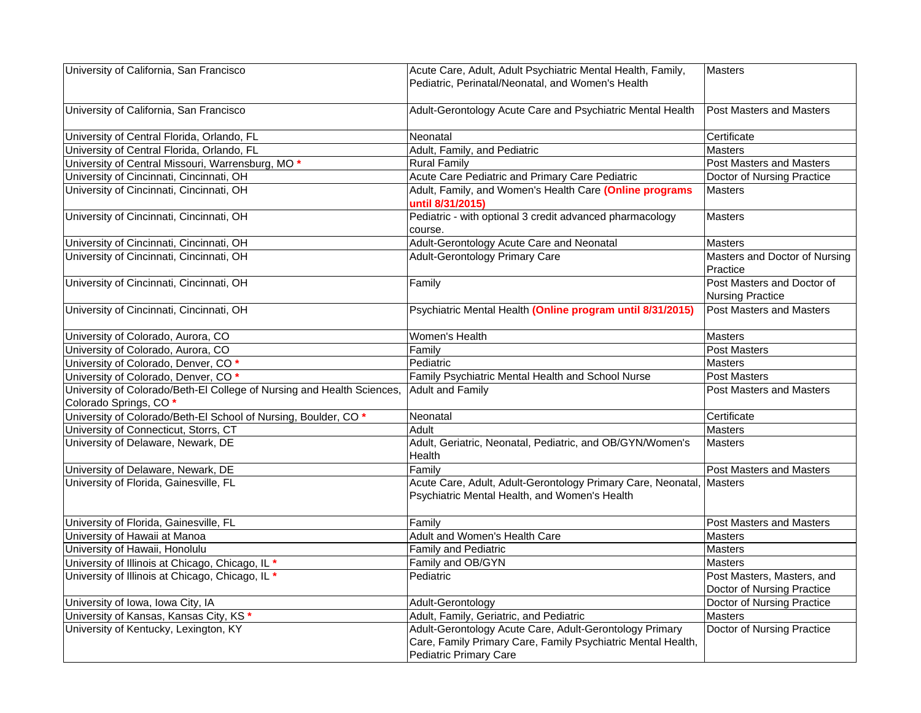| University of California, San Francisco                                | Acute Care, Adult, Adult Psychiatric Mental Health, Family,          | <b>Masters</b>                    |
|------------------------------------------------------------------------|----------------------------------------------------------------------|-----------------------------------|
|                                                                        | Pediatric, Perinatal/Neonatal, and Women's Health                    |                                   |
|                                                                        |                                                                      |                                   |
| University of California, San Francisco                                | Adult-Gerontology Acute Care and Psychiatric Mental Health           | <b>Post Masters and Masters</b>   |
|                                                                        |                                                                      |                                   |
| University of Central Florida, Orlando, FL                             | Neonatal                                                             | Certificate                       |
| University of Central Florida, Orlando, FL                             | Adult, Family, and Pediatric                                         | <b>Masters</b>                    |
| University of Central Missouri, Warrensburg, MO <sup>*</sup>           | <b>Rural Family</b>                                                  | <b>Post Masters and Masters</b>   |
| University of Cincinnati, Cincinnati, OH                               | Acute Care Pediatric and Primary Care Pediatric                      | Doctor of Nursing Practice        |
| University of Cincinnati, Cincinnati, OH                               | Adult, Family, and Women's Health Care (Online programs              | <b>Masters</b>                    |
|                                                                        | until 8/31/2015)                                                     |                                   |
| University of Cincinnati, Cincinnati, OH                               | Pediatric - with optional 3 credit advanced pharmacology             | <b>Masters</b>                    |
|                                                                        | course.                                                              |                                   |
| University of Cincinnati, Cincinnati, OH                               | Adult-Gerontology Acute Care and Neonatal                            | Masters                           |
| University of Cincinnati, Cincinnati, OH                               | <b>Adult-Gerontology Primary Care</b>                                | Masters and Doctor of Nursing     |
|                                                                        |                                                                      | Practice                          |
| University of Cincinnati, Cincinnati, OH                               | Family                                                               | Post Masters and Doctor of        |
|                                                                        |                                                                      | <b>Nursing Practice</b>           |
| University of Cincinnati, Cincinnati, OH                               | Psychiatric Mental Health (Online program until 8/31/2015)           | <b>Post Masters and Masters</b>   |
|                                                                        |                                                                      |                                   |
| University of Colorado, Aurora, CO                                     | Women's Health                                                       | Masters                           |
| University of Colorado, Aurora, CO                                     | Family                                                               | Post Masters                      |
| University of Colorado, Denver, CO*                                    | Pediatric                                                            | <b>Masters</b>                    |
| University of Colorado, Denver, CO*                                    | Family Psychiatric Mental Health and School Nurse                    | <b>Post Masters</b>               |
| University of Colorado/Beth-El College of Nursing and Health Sciences, | <b>Adult and Family</b>                                              | <b>Post Masters and Masters</b>   |
| Colorado Springs, CO*                                                  |                                                                      |                                   |
| University of Colorado/Beth-El School of Nursing, Boulder, CO *        | Neonatal                                                             | Certificate                       |
| University of Connecticut, Storrs, CT                                  | Adult                                                                | Masters                           |
| University of Delaware, Newark, DE                                     | Adult, Geriatric, Neonatal, Pediatric, and OB/GYN/Women's            | Masters                           |
|                                                                        | Health                                                               |                                   |
| University of Delaware, Newark, DE                                     | Family                                                               | Post Masters and Masters          |
| University of Florida, Gainesville, FL                                 | Acute Care, Adult, Adult-Gerontology Primary Care, Neonatal, Masters |                                   |
|                                                                        | Psychiatric Mental Health, and Women's Health                        |                                   |
|                                                                        |                                                                      |                                   |
| University of Florida, Gainesville, FL                                 | Family                                                               | <b>Post Masters and Masters</b>   |
| University of Hawaii at Manoa                                          | Adult and Women's Health Care                                        | <b>Masters</b>                    |
| University of Hawaii, Honolulu                                         | Family and Pediatric                                                 | <b>Masters</b>                    |
| University of Illinois at Chicago, Chicago, IL *                       | Family and OB/GYN                                                    | <b>Masters</b>                    |
| University of Illinois at Chicago, Chicago, IL *                       | Pediatric                                                            | Post Masters, Masters, and        |
|                                                                        |                                                                      | Doctor of Nursing Practice        |
| University of Iowa, Iowa City, IA                                      | Adult-Gerontology                                                    | Doctor of Nursing Practice        |
| University of Kansas, Kansas City, KS *                                | Adult, Family, Geriatric, and Pediatric                              | Masters                           |
| University of Kentucky, Lexington, KY                                  | Adult-Gerontology Acute Care, Adult-Gerontology Primary              | <b>Doctor of Nursing Practice</b> |
|                                                                        | Care, Family Primary Care, Family Psychiatric Mental Health,         |                                   |
|                                                                        | <b>Pediatric Primary Care</b>                                        |                                   |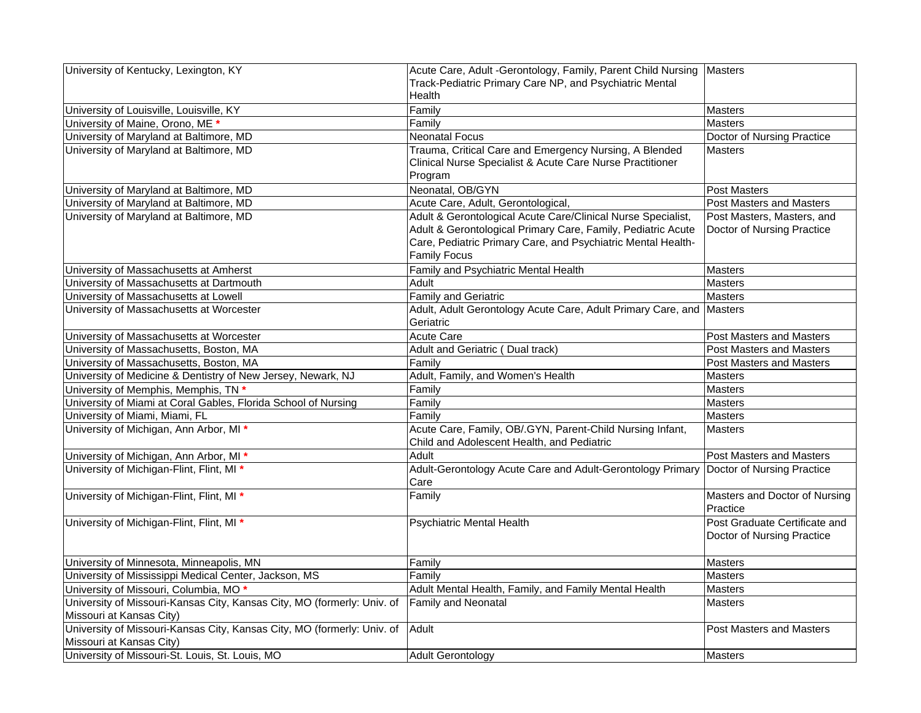| University of Kentucky, Lexington, KY                                         | Acute Care, Adult -Gerontology, Family, Parent Child Nursing Masters                                    |                                 |
|-------------------------------------------------------------------------------|---------------------------------------------------------------------------------------------------------|---------------------------------|
|                                                                               | Track-Pediatric Primary Care NP, and Psychiatric Mental                                                 |                                 |
|                                                                               | Health                                                                                                  |                                 |
| University of Louisville, Louisville, KY                                      | Family                                                                                                  | <b>Masters</b>                  |
| University of Maine, Orono, ME *                                              | Familv                                                                                                  | Masters                         |
| University of Maryland at Baltimore, MD                                       | <b>Neonatal Focus</b>                                                                                   | Doctor of Nursing Practice      |
| University of Maryland at Baltimore, MD                                       | Trauma, Critical Care and Emergency Nursing, A Blended                                                  | <b>Masters</b>                  |
|                                                                               | Clinical Nurse Specialist & Acute Care Nurse Practitioner                                               |                                 |
|                                                                               | Program                                                                                                 |                                 |
| University of Maryland at Baltimore, MD                                       | Neonatal, OB/GYN                                                                                        | <b>Post Masters</b>             |
| University of Maryland at Baltimore, MD                                       | Acute Care, Adult, Gerontological,                                                                      | <b>Post Masters and Masters</b> |
| University of Maryland at Baltimore, MD                                       | Adult & Gerontological Acute Care/Clinical Nurse Specialist,                                            | Post Masters, Masters, and      |
|                                                                               | Adult & Gerontological Primary Care, Family, Pediatric Acute                                            | Doctor of Nursing Practice      |
|                                                                               | Care, Pediatric Primary Care, and Psychiatric Mental Health-                                            |                                 |
|                                                                               | <b>Family Focus</b>                                                                                     |                                 |
| University of Massachusetts at Amherst                                        | Family and Psychiatric Mental Health                                                                    | <b>Masters</b>                  |
| University of Massachusetts at Dartmouth                                      | Adult                                                                                                   | Masters                         |
| University of Massachusetts at Lowell                                         | <b>Family and Geriatric</b>                                                                             | <b>Masters</b>                  |
| University of Massachusetts at Worcester                                      | Adult, Adult Gerontology Acute Care, Adult Primary Care, and Masters                                    |                                 |
|                                                                               | Geriatric                                                                                               |                                 |
|                                                                               |                                                                                                         |                                 |
| University of Massachusetts at Worcester                                      | Acute Care                                                                                              | Post Masters and Masters        |
| University of Massachusetts, Boston, MA                                       | Adult and Geriatric (Dual track)                                                                        | Post Masters and Masters        |
| University of Massachusetts, Boston, MA                                       | Family                                                                                                  | Post Masters and Masters        |
| University of Medicine & Dentistry of New Jersey, Newark, NJ                  | Adult, Family, and Women's Health                                                                       | <b>Masters</b>                  |
| University of Memphis, Memphis, TN *                                          | Family                                                                                                  | <b>Masters</b>                  |
| University of Miami at Coral Gables, Florida School of Nursing                | Family                                                                                                  | <b>Masters</b>                  |
| University of Miami, Miami, FL                                                | Family                                                                                                  | <b>Masters</b>                  |
| University of Michigan, Ann Arbor, MI *                                       | Acute Care, Family, OB/.GYN, Parent-Child Nursing Infant,<br>Child and Adolescent Health, and Pediatric | <b>Masters</b>                  |
| University of Michigan, Ann Arbor, MI *                                       | Adult                                                                                                   | Post Masters and Masters        |
| University of Michigan-Flint, Flint, MI *                                     | Adult-Gerontology Acute Care and Adult-Gerontology Primary Doctor of Nursing Practice                   |                                 |
|                                                                               | Care                                                                                                    |                                 |
| University of Michigan-Flint, Flint, MI *                                     | Family                                                                                                  | Masters and Doctor of Nursing   |
|                                                                               |                                                                                                         | Practice                        |
| University of Michigan-Flint, Flint, MI *                                     | <b>Psychiatric Mental Health</b>                                                                        | Post Graduate Certificate and   |
|                                                                               |                                                                                                         | Doctor of Nursing Practice      |
|                                                                               |                                                                                                         |                                 |
| University of Minnesota, Minneapolis, MN                                      | Family                                                                                                  | <b>Masters</b>                  |
| University of Mississippi Medical Center, Jackson, MS                         | Family                                                                                                  | <b>Masters</b>                  |
| University of Missouri, Columbia, MO <sup>*</sup>                             | Adult Mental Health, Family, and Family Mental Health                                                   | <b>Masters</b>                  |
| University of Missouri-Kansas City, Kansas City, MO (formerly: Univ. of       | <b>Family and Neonatal</b>                                                                              | <b>Masters</b>                  |
| Missouri at Kansas City)                                                      |                                                                                                         |                                 |
| University of Missouri-Kansas City, Kansas City, MO (formerly: Univ. of Adult |                                                                                                         | Post Masters and Masters        |
| Missouri at Kansas City)                                                      |                                                                                                         |                                 |
| University of Missouri-St. Louis, St. Louis, MO                               | Adult Gerontology                                                                                       | Masters                         |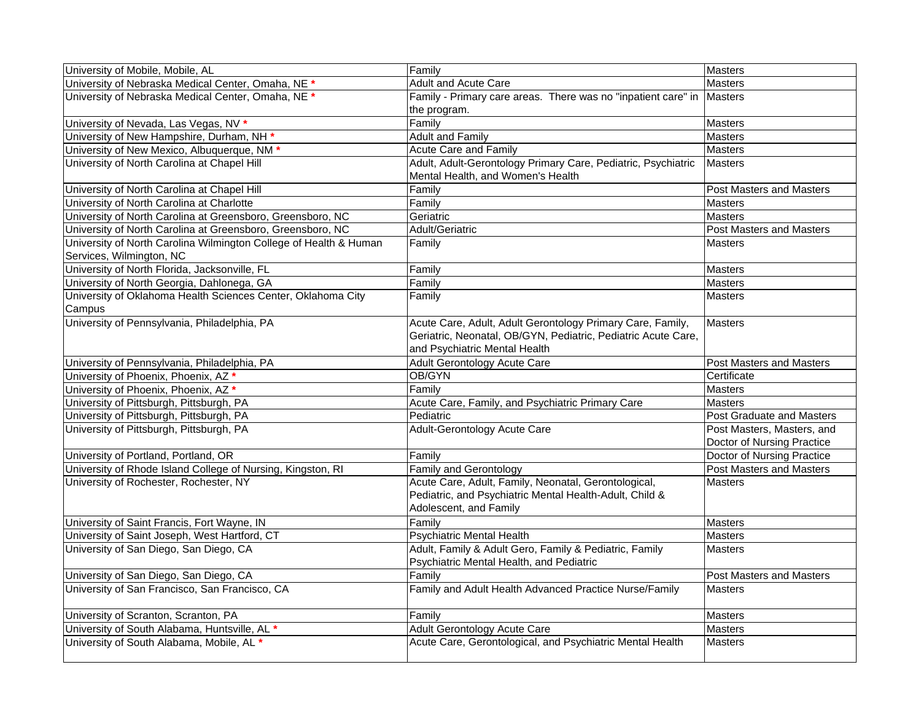| University of Mobile, Mobile, AL                                  | Family                                                        | <b>Masters</b>                   |
|-------------------------------------------------------------------|---------------------------------------------------------------|----------------------------------|
| University of Nebraska Medical Center, Omaha, NE *                | <b>Adult and Acute Care</b>                                   | <b>Masters</b>                   |
| University of Nebraska Medical Center, Omaha, NE *                | Family - Primary care areas. There was no "inpatient care" in | <b>Masters</b>                   |
|                                                                   | the program.                                                  |                                  |
| University of Nevada, Las Vegas, NV *                             | Family                                                        | Masters                          |
| University of New Hampshire, Durham, NH *                         | <b>Adult and Family</b>                                       | <b>Masters</b>                   |
| University of New Mexico, Albuquerque, NM *                       | <b>Acute Care and Family</b>                                  | <b>Masters</b>                   |
| University of North Carolina at Chapel Hill                       | Adult, Adult-Gerontology Primary Care, Pediatric, Psychiatric | <b>Masters</b>                   |
|                                                                   | Mental Health, and Women's Health                             |                                  |
| University of North Carolina at Chapel Hill                       | Family                                                        | Post Masters and Masters         |
| University of North Carolina at Charlotte                         | Family                                                        | <b>Masters</b>                   |
| University of North Carolina at Greensboro, Greensboro, NC        | Geriatric                                                     | Masters                          |
| University of North Carolina at Greensboro, Greensboro, NC        | Adult/Geriatric                                               | <b>Post Masters and Masters</b>  |
| University of North Carolina Wilmington College of Health & Human | Family                                                        | Masters                          |
| Services, Wilmington, NC                                          |                                                               |                                  |
| University of North Florida, Jacksonville, FL                     | Family                                                        | <b>Masters</b>                   |
| University of North Georgia, Dahlonega, GA                        | Family                                                        | <b>Masters</b>                   |
| University of Oklahoma Health Sciences Center, Oklahoma City      | Family                                                        | <b>Masters</b>                   |
| Campus                                                            |                                                               |                                  |
| University of Pennsylvania, Philadelphia, PA                      | Acute Care, Adult, Adult Gerontology Primary Care, Family,    | Masters                          |
|                                                                   | Geriatric, Neonatal, OB/GYN, Pediatric, Pediatric Acute Care, |                                  |
|                                                                   | and Psychiatric Mental Health                                 |                                  |
| University of Pennsylvania, Philadelphia, PA                      | Adult Gerontology Acute Care                                  | Post Masters and Masters         |
| University of Phoenix, Phoenix, AZ *                              | OB/GYN                                                        | Certificate                      |
| University of Phoenix, Phoenix, AZ *                              | Family                                                        | <b>Masters</b>                   |
| University of Pittsburgh, Pittsburgh, PA                          | Acute Care, Family, and Psychiatric Primary Care              | Masters                          |
| University of Pittsburgh, Pittsburgh, PA                          | Pediatric                                                     | <b>Post Graduate and Masters</b> |
| University of Pittsburgh, Pittsburgh, PA                          | Adult-Gerontology Acute Care                                  | Post Masters, Masters, and       |
|                                                                   |                                                               | Doctor of Nursing Practice       |
| University of Portland, Portland, OR                              | Family                                                        | Doctor of Nursing Practice       |
| University of Rhode Island College of Nursing, Kingston, RI       | Family and Gerontology                                        | <b>Post Masters and Masters</b>  |
| University of Rochester, Rochester, NY                            | Acute Care, Adult, Family, Neonatal, Gerontological,          | <b>Masters</b>                   |
|                                                                   | Pediatric, and Psychiatric Mental Health-Adult, Child &       |                                  |
|                                                                   | Adolescent, and Family                                        |                                  |
| University of Saint Francis, Fort Wayne, IN                       | Family                                                        | Masters                          |
| University of Saint Joseph, West Hartford, CT                     | Psychiatric Mental Health                                     | <b>Masters</b>                   |
| University of San Diego, San Diego, CA                            | Adult, Family & Adult Gero, Family & Pediatric, Family        | <b>Masters</b>                   |
|                                                                   | Psychiatric Mental Health, and Pediatric                      |                                  |
| University of San Diego, San Diego, CA                            | Family                                                        | <b>Post Masters and Masters</b>  |
| University of San Francisco, San Francisco, CA                    | Family and Adult Health Advanced Practice Nurse/Family        | Masters                          |
|                                                                   |                                                               |                                  |
| University of Scranton, Scranton, PA                              | Family                                                        | Masters                          |
| University of South Alabama, Huntsville, AL *                     | Adult Gerontology Acute Care                                  | <b>Masters</b>                   |
| University of South Alabama, Mobile, AL *                         | Acute Care, Gerontological, and Psychiatric Mental Health     | <b>Masters</b>                   |
|                                                                   |                                                               |                                  |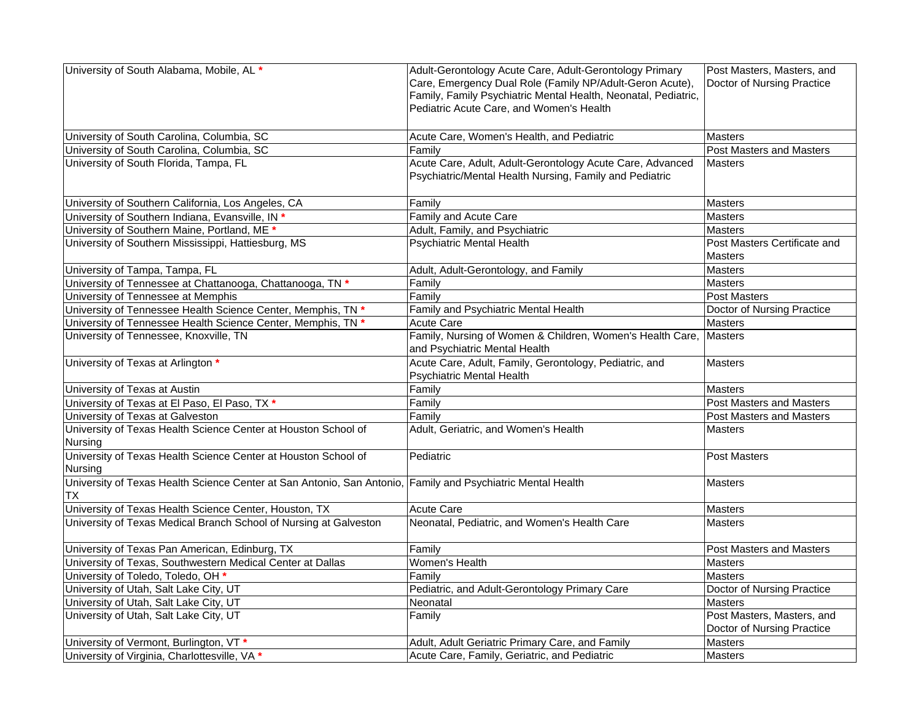| University of South Alabama, Mobile, AL *                                                                   | Adult-Gerontology Acute Care, Adult-Gerontology Primary        | Post Masters, Masters, and      |
|-------------------------------------------------------------------------------------------------------------|----------------------------------------------------------------|---------------------------------|
|                                                                                                             | Care, Emergency Dual Role (Family NP/Adult-Geron Acute),       | Doctor of Nursing Practice      |
|                                                                                                             | Family, Family Psychiatric Mental Health, Neonatal, Pediatric, |                                 |
|                                                                                                             | Pediatric Acute Care, and Women's Health                       |                                 |
|                                                                                                             |                                                                |                                 |
| University of South Carolina, Columbia, SC                                                                  | Acute Care, Women's Health, and Pediatric                      | <b>Masters</b>                  |
| University of South Carolina, Columbia, SC                                                                  | Family                                                         | <b>Post Masters and Masters</b> |
| University of South Florida, Tampa, FL                                                                      | Acute Care, Adult, Adult-Gerontology Acute Care, Advanced      | Masters                         |
|                                                                                                             | Psychiatric/Mental Health Nursing, Family and Pediatric        |                                 |
|                                                                                                             |                                                                |                                 |
| University of Southern California, Los Angeles, CA                                                          | Family                                                         | <b>Masters</b>                  |
| University of Southern Indiana, Evansville, IN *                                                            | Family and Acute Care                                          | <b>Masters</b>                  |
| University of Southern Maine, Portland, ME *                                                                | Adult, Family, and Psychiatric                                 | <b>Masters</b>                  |
| University of Southern Mississippi, Hattiesburg, MS                                                         | <b>Psychiatric Mental Health</b>                               | Post Masters Certificate and    |
|                                                                                                             |                                                                | <b>Masters</b>                  |
| University of Tampa, Tampa, FL                                                                              | Adult, Adult-Gerontology, and Family                           | Masters                         |
| University of Tennessee at Chattanooga, Chattanooga, TN *                                                   | Family                                                         | <b>Masters</b>                  |
| University of Tennessee at Memphis                                                                          | Family                                                         | <b>Post Masters</b>             |
| University of Tennessee Health Science Center, Memphis, TN *                                                | Family and Psychiatric Mental Health                           | Doctor of Nursing Practice      |
| University of Tennessee Health Science Center, Memphis, TN *                                                | <b>Acute Care</b>                                              | <b>Masters</b>                  |
| University of Tennessee, Knoxville, TN                                                                      | Family, Nursing of Women & Children, Women's Health Care,      | Masters                         |
|                                                                                                             | and Psychiatric Mental Health                                  |                                 |
| University of Texas at Arlington *                                                                          | Acute Care, Adult, Family, Gerontology, Pediatric, and         | <b>Masters</b>                  |
|                                                                                                             | <b>Psychiatric Mental Health</b>                               |                                 |
| University of Texas at Austin                                                                               | Family                                                         | <b>Masters</b>                  |
| University of Texas at El Paso, El Paso, TX *                                                               | Family                                                         | Post Masters and Masters        |
| University of Texas at Galveston                                                                            | Family                                                         | Post Masters and Masters        |
| University of Texas Health Science Center at Houston School of                                              | Adult, Geriatric, and Women's Health                           | <b>Masters</b>                  |
| Nursing                                                                                                     |                                                                |                                 |
| University of Texas Health Science Center at Houston School of                                              | Pediatric                                                      | <b>Post Masters</b>             |
| Nursing                                                                                                     |                                                                |                                 |
| University of Texas Health Science Center at San Antonio, San Antonio, Family and Psychiatric Mental Health |                                                                | Masters                         |
| TX                                                                                                          |                                                                |                                 |
| University of Texas Health Science Center, Houston, TX                                                      | Acute Care                                                     | <b>Masters</b>                  |
| University of Texas Medical Branch School of Nursing at Galveston                                           | Neonatal, Pediatric, and Women's Health Care                   | <b>Masters</b>                  |
|                                                                                                             |                                                                |                                 |
| University of Texas Pan American, Edinburg, TX                                                              | Family                                                         | Post Masters and Masters        |
| University of Texas, Southwestern Medical Center at Dallas                                                  | <b>Women's Health</b>                                          | <b>Masters</b>                  |
| University of Toledo, Toledo, OH *                                                                          | Family                                                         | Masters                         |
| University of Utah, Salt Lake City, UT                                                                      | Pediatric, and Adult-Gerontology Primary Care                  | Doctor of Nursing Practice      |
| University of Utah, Salt Lake City, UT                                                                      | Neonatal                                                       | <b>Masters</b>                  |
| University of Utah, Salt Lake City, UT                                                                      | Family                                                         | Post Masters, Masters, and      |
|                                                                                                             |                                                                | Doctor of Nursing Practice      |
| University of Vermont, Burlington, VT *                                                                     | Adult, Adult Geriatric Primary Care, and Family                | Masters                         |
| University of Virginia, Charlottesville, VA *                                                               | Acute Care, Family, Geriatric, and Pediatric                   | <b>Masters</b>                  |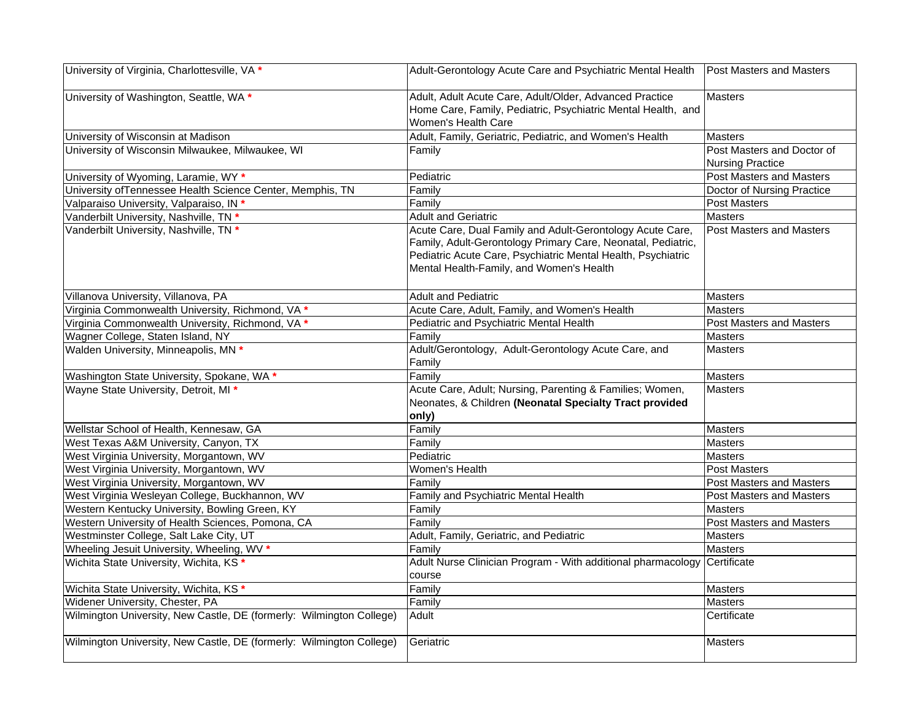| University of Virginia, Charlottesville, VA *                        | Adult-Gerontology Acute Care and Psychiatric Mental Health   Post Masters and Masters                                                                                                                                                 |                                                       |
|----------------------------------------------------------------------|---------------------------------------------------------------------------------------------------------------------------------------------------------------------------------------------------------------------------------------|-------------------------------------------------------|
| University of Washington, Seattle, WA *                              | Adult, Adult Acute Care, Adult/Older, Advanced Practice<br>Home Care, Family, Pediatric, Psychiatric Mental Health, and<br>Women's Health Care                                                                                        | <b>Masters</b>                                        |
| University of Wisconsin at Madison                                   | Adult, Family, Geriatric, Pediatric, and Women's Health                                                                                                                                                                               | <b>Masters</b>                                        |
| University of Wisconsin Milwaukee, Milwaukee, WI                     | Family                                                                                                                                                                                                                                | Post Masters and Doctor of<br><b>Nursing Practice</b> |
| University of Wyoming, Laramie, WY *                                 | Pediatric                                                                                                                                                                                                                             | <b>Post Masters and Masters</b>                       |
| University of Tennessee Health Science Center, Memphis, TN           | Family                                                                                                                                                                                                                                | Doctor of Nursing Practice                            |
| Valparaiso University, Valparaiso, IN *                              | Family                                                                                                                                                                                                                                | Post Masters                                          |
| Vanderbilt University, Nashville, TN *                               | <b>Adult and Geriatric</b>                                                                                                                                                                                                            | Masters                                               |
| Vanderbilt University, Nashville, TN *                               | Acute Care, Dual Family and Adult-Gerontology Acute Care,<br>Family, Adult-Gerontology Primary Care, Neonatal, Pediatric,<br>Pediatric Acute Care, Psychiatric Mental Health, Psychiatric<br>Mental Health-Family, and Women's Health | <b>Post Masters and Masters</b>                       |
| Villanova University, Villanova, PA                                  | <b>Adult and Pediatric</b>                                                                                                                                                                                                            | Masters                                               |
| Virginia Commonwealth University, Richmond, VA *                     | Acute Care, Adult, Family, and Women's Health                                                                                                                                                                                         | <b>Masters</b>                                        |
| Virginia Commonwealth University, Richmond, VA *                     | Pediatric and Psychiatric Mental Health                                                                                                                                                                                               | Post Masters and Masters                              |
| Wagner College, Staten Island, NY                                    | Family                                                                                                                                                                                                                                | Masters                                               |
| Walden University, Minneapolis, MN *                                 | Adult/Gerontology, Adult-Gerontology Acute Care, and<br>Family                                                                                                                                                                        | <b>Masters</b>                                        |
| Washington State University, Spokane, WA *                           | Family                                                                                                                                                                                                                                | <b>Masters</b>                                        |
| Wayne State University, Detroit, MI *                                | Acute Care, Adult; Nursing, Parenting & Families; Women,<br>Neonates, & Children (Neonatal Specialty Tract provided<br>only)                                                                                                          | <b>Masters</b>                                        |
| Wellstar School of Health, Kennesaw, GA                              | Family                                                                                                                                                                                                                                | <b>Masters</b>                                        |
| West Texas A&M University, Canyon, TX                                | Family                                                                                                                                                                                                                                | <b>Masters</b>                                        |
| West Virginia University, Morgantown, WV                             | Pediatric                                                                                                                                                                                                                             | Masters                                               |
| West Virginia University, Morgantown, WV                             | Women's Health                                                                                                                                                                                                                        | <b>Post Masters</b>                                   |
| West Virginia University, Morgantown, WV                             | Family                                                                                                                                                                                                                                | <b>Post Masters and Masters</b>                       |
| West Virginia Wesleyan College, Buckhannon, WV                       | Family and Psychiatric Mental Health                                                                                                                                                                                                  | <b>Post Masters and Masters</b>                       |
| Western Kentucky University, Bowling Green, KY                       | Family                                                                                                                                                                                                                                | <b>Masters</b>                                        |
| Western University of Health Sciences, Pomona, CA                    | Family                                                                                                                                                                                                                                | <b>Post Masters and Masters</b>                       |
| Westminster College, Salt Lake City, UT                              | Adult, Family, Geriatric, and Pediatric                                                                                                                                                                                               | Masters                                               |
| Wheeling Jesuit University, Wheeling, WV *                           | Family                                                                                                                                                                                                                                | <b>Masters</b>                                        |
| Wichita State University, Wichita, KS *                              | Adult Nurse Clinician Program - With additional pharmacology<br>course                                                                                                                                                                | Certificate                                           |
| Wichita State University, Wichita, KS *                              | Family                                                                                                                                                                                                                                | Masters                                               |
| Widener University, Chester, PA                                      | Family                                                                                                                                                                                                                                | <b>Masters</b>                                        |
| Wilmington University, New Castle, DE (formerly: Wilmington College) | Adult                                                                                                                                                                                                                                 | Certificate                                           |
| Wilmington University, New Castle, DE (formerly: Wilmington College) | Geriatric                                                                                                                                                                                                                             | <b>Masters</b>                                        |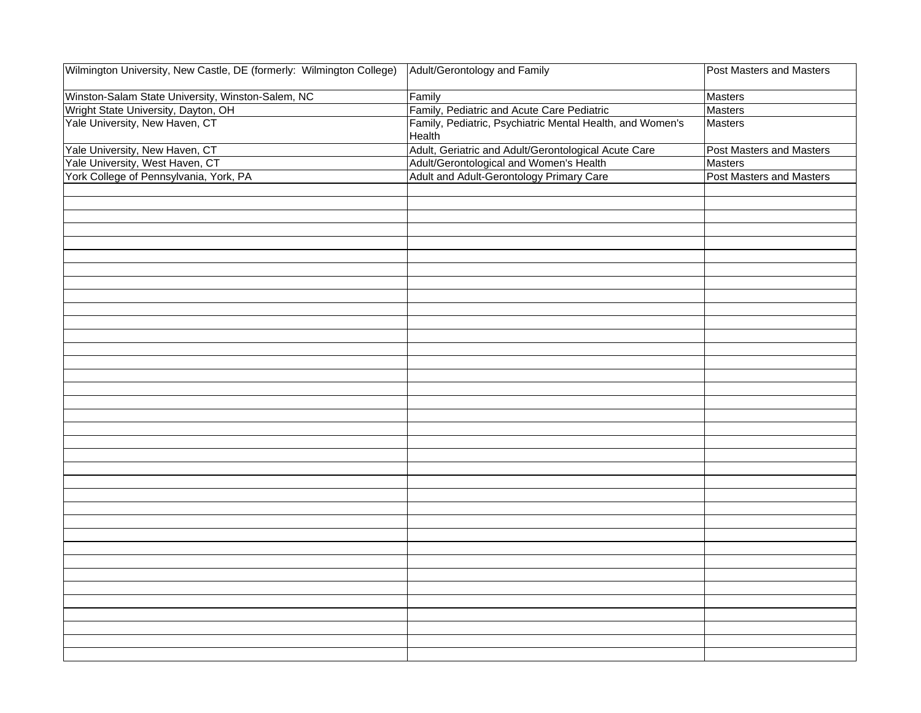| Winston-Salam State University, Winston-Salem, NC<br>Family<br>Masters<br>Wright State University, Dayton, OH<br>Family, Pediatric and Acute Care Pediatric<br><b>Masters</b><br>Yale University, New Haven, CT<br>Family, Pediatric, Psychiatric Mental Health, and Women's<br><b>Masters</b><br>Health<br>Yale University, New Haven, CT<br>Adult, Geriatric and Adult/Gerontological Acute Care<br>Post Masters and Masters<br>Yale University, West Haven, CT<br>Adult/Gerontological and Women's Health<br><b>Masters</b><br>York College of Pennsylvania, York, PA<br>Adult and Adult-Gerontology Primary Care<br>Post Masters and Masters | Wilmington University, New Castle, DE (formerly: Wilmington College) | Adult/Gerontology and Family | Post Masters and Masters |
|--------------------------------------------------------------------------------------------------------------------------------------------------------------------------------------------------------------------------------------------------------------------------------------------------------------------------------------------------------------------------------------------------------------------------------------------------------------------------------------------------------------------------------------------------------------------------------------------------------------------------------------------------|----------------------------------------------------------------------|------------------------------|--------------------------|
|                                                                                                                                                                                                                                                                                                                                                                                                                                                                                                                                                                                                                                                  |                                                                      |                              |                          |
|                                                                                                                                                                                                                                                                                                                                                                                                                                                                                                                                                                                                                                                  |                                                                      |                              |                          |
|                                                                                                                                                                                                                                                                                                                                                                                                                                                                                                                                                                                                                                                  |                                                                      |                              |                          |
|                                                                                                                                                                                                                                                                                                                                                                                                                                                                                                                                                                                                                                                  |                                                                      |                              |                          |
|                                                                                                                                                                                                                                                                                                                                                                                                                                                                                                                                                                                                                                                  |                                                                      |                              |                          |
|                                                                                                                                                                                                                                                                                                                                                                                                                                                                                                                                                                                                                                                  |                                                                      |                              |                          |
|                                                                                                                                                                                                                                                                                                                                                                                                                                                                                                                                                                                                                                                  |                                                                      |                              |                          |
|                                                                                                                                                                                                                                                                                                                                                                                                                                                                                                                                                                                                                                                  |                                                                      |                              |                          |
|                                                                                                                                                                                                                                                                                                                                                                                                                                                                                                                                                                                                                                                  |                                                                      |                              |                          |
|                                                                                                                                                                                                                                                                                                                                                                                                                                                                                                                                                                                                                                                  |                                                                      |                              |                          |
|                                                                                                                                                                                                                                                                                                                                                                                                                                                                                                                                                                                                                                                  |                                                                      |                              |                          |
|                                                                                                                                                                                                                                                                                                                                                                                                                                                                                                                                                                                                                                                  |                                                                      |                              |                          |
|                                                                                                                                                                                                                                                                                                                                                                                                                                                                                                                                                                                                                                                  |                                                                      |                              |                          |
|                                                                                                                                                                                                                                                                                                                                                                                                                                                                                                                                                                                                                                                  |                                                                      |                              |                          |
|                                                                                                                                                                                                                                                                                                                                                                                                                                                                                                                                                                                                                                                  |                                                                      |                              |                          |
|                                                                                                                                                                                                                                                                                                                                                                                                                                                                                                                                                                                                                                                  |                                                                      |                              |                          |
|                                                                                                                                                                                                                                                                                                                                                                                                                                                                                                                                                                                                                                                  |                                                                      |                              |                          |
|                                                                                                                                                                                                                                                                                                                                                                                                                                                                                                                                                                                                                                                  |                                                                      |                              |                          |
|                                                                                                                                                                                                                                                                                                                                                                                                                                                                                                                                                                                                                                                  |                                                                      |                              |                          |
|                                                                                                                                                                                                                                                                                                                                                                                                                                                                                                                                                                                                                                                  |                                                                      |                              |                          |
|                                                                                                                                                                                                                                                                                                                                                                                                                                                                                                                                                                                                                                                  |                                                                      |                              |                          |
|                                                                                                                                                                                                                                                                                                                                                                                                                                                                                                                                                                                                                                                  |                                                                      |                              |                          |
|                                                                                                                                                                                                                                                                                                                                                                                                                                                                                                                                                                                                                                                  |                                                                      |                              |                          |
|                                                                                                                                                                                                                                                                                                                                                                                                                                                                                                                                                                                                                                                  |                                                                      |                              |                          |
|                                                                                                                                                                                                                                                                                                                                                                                                                                                                                                                                                                                                                                                  |                                                                      |                              |                          |
|                                                                                                                                                                                                                                                                                                                                                                                                                                                                                                                                                                                                                                                  |                                                                      |                              |                          |
|                                                                                                                                                                                                                                                                                                                                                                                                                                                                                                                                                                                                                                                  |                                                                      |                              |                          |
|                                                                                                                                                                                                                                                                                                                                                                                                                                                                                                                                                                                                                                                  |                                                                      |                              |                          |
|                                                                                                                                                                                                                                                                                                                                                                                                                                                                                                                                                                                                                                                  |                                                                      |                              |                          |
|                                                                                                                                                                                                                                                                                                                                                                                                                                                                                                                                                                                                                                                  |                                                                      |                              |                          |
|                                                                                                                                                                                                                                                                                                                                                                                                                                                                                                                                                                                                                                                  |                                                                      |                              |                          |
|                                                                                                                                                                                                                                                                                                                                                                                                                                                                                                                                                                                                                                                  |                                                                      |                              |                          |
|                                                                                                                                                                                                                                                                                                                                                                                                                                                                                                                                                                                                                                                  |                                                                      |                              |                          |